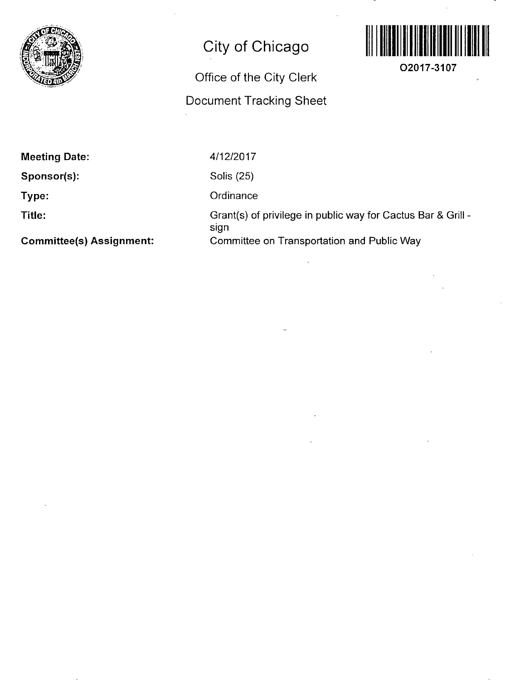

## **City of Chicago**

## Office of the City Clerk Document Tracking Sheet



**O2017-3107** 

**Meeting Date:** 

**Sponsor(s):** 

**Type:** 

**Title:** 

**Committee(s) Assignment:** 

4/12/2017

Solis (25)

**Ordinance** 

Grant(s) of privilege in public way for Cactus Bar & Grill sign Committee on Transportation and Public Way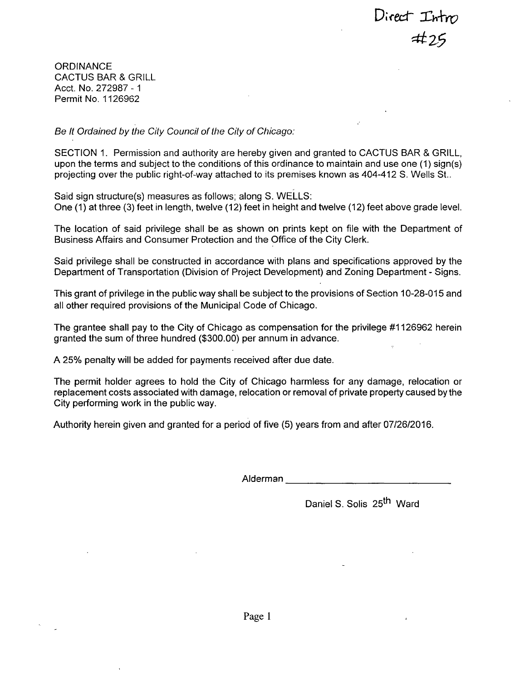Direct  $Int_{m}$ <br>#25

**ORDINANCE** CACTUS BAR & GRILL Acct. No. 272987 - 1 Permit No. 1126962

*Be It Ordained by the City Council of the City of Chicago:* 

SECTION 1. Permission and authority are hereby given and granted to CACTUS BAR & GRILL, upon the terms and subject to the conditions of this ordinance to maintain and use one (1) sign(s) projecting over the public right-of-way attached to its premises known as 404-412 S. Wells St..

Said sign structure(s) measures as follows; along S. WELLS: One (1) at three (3) feet in length, twelve (12) feet in height and twelve (12) feet above grade level.

The location of said privilege shall be as shown on prints kept on file with the Department of Business Affairs and Consumer Protection and the Office of the City Clerk.

Said privilege shall be constructed in accordance with plans and specifications approved by the Department of Transportation (Division of Project Development) and Zoning Department - Signs.

This grant of privilege in the public way shall be subject to the provisions of Section 10-28-015 and all other required provisions of the Municipal Code of Chicago.

The grantee shall pay to the City of Chicago as compensation for the privilege #1126962 herein granted the sum of three hundred (\$300.00) per annum in advance.

A 25% penalty will be added for payments received after due date.

The permit holder agrees to hold the City of Chicago harmless for any damage, relocation or replacement costs associated with damage, relocation or removal of private property caused bythe City performing work in the public way.

Authority herein given and granted for a period of five (5) years from and after 07/26/2016.

Alderman

Daniel S. Solis 25<sup>th</sup> Ward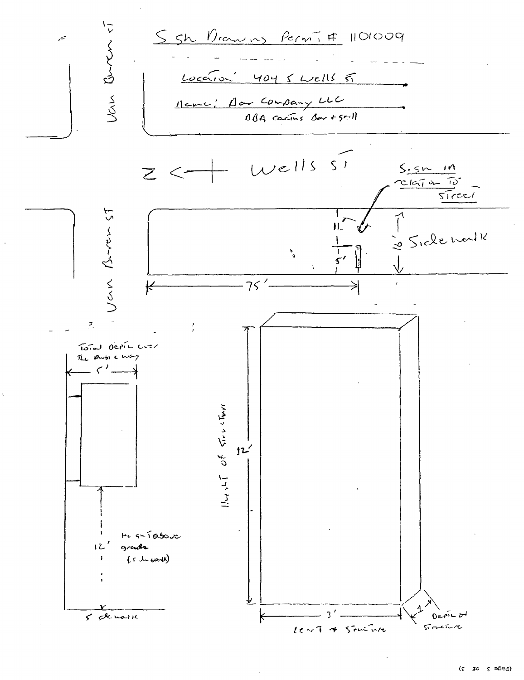